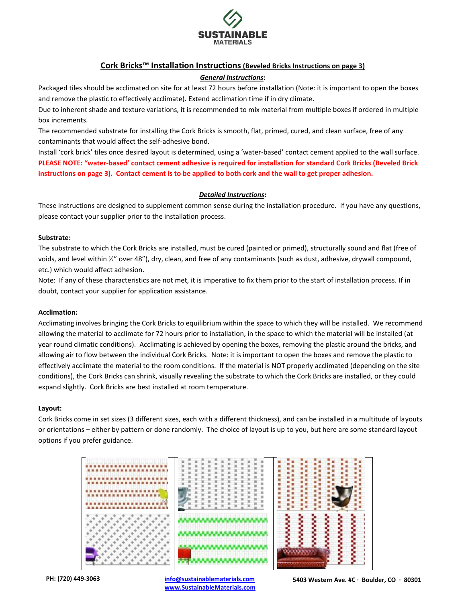

# **Cork Bricks™ Installation Instructions (Beveled Bricks Instructions on page 3)**

# *General Instructions***:**

Packaged tiles should be acclimated on site for at least 72 hours before installation (Note: it is important to open the boxes and remove the plastic to effectively acclimate). Extend acclimation time if in dry climate.

Due to inherent shade and texture variations, it is recommended to mix material from multiple boxes if ordered in multiple box increments.

The recommended substrate for installing the Cork Bricks is smooth, flat, primed, cured, and clean surface, free of any contaminants that would affect the self-adhesive bond.

Install 'cork brick' tiles once desired layout is determined, using a 'water-based' contact cement applied to the wall surface. **PLEASE NOTE: "water-based' contact cement adhesive is required for installation for standard Cork Bricks (Beveled Brick instructions on page 3). Contact cement is to be applied to both cork and the wall to get proper adhesion.** 

# *Detailed Instructions***:**

These instructions are designed to supplement common sense during the installation procedure. If you have any questions, please contact your supplier prior to the installation process.

# **Substrate:**

The substrate to which the Cork Bricks are installed, must be cured (painted or primed), structurally sound and flat (free of voids, and level within ½" over 48"), dry, clean, and free of any contaminants (such as dust, adhesive, drywall compound, etc.) which would affect adhesion.

Note: If any of these characteristics are not met, it is imperative to fix them prior to the start of installation process. If in doubt, contact your supplier for application assistance.

## **Acclimation:**

Acclimating involves bringing the Cork Bricks to equilibrium within the space to which they will be installed. We recommend allowing the material to acclimate for 72 hours prior to installation, in the space to which the material will be installed (at year round climatic conditions). Acclimating is achieved by opening the boxes, removing the plastic around the bricks, and allowing air to flow between the individual Cork Bricks. Note: it is important to open the boxes and remove the plastic to effectively acclimate the material to the room conditions. If the material is NOT properly acclimated (depending on the site conditions), the Cork Bricks can shrink, visually revealing the substrate to which the Cork Bricks are installed, or they could expand slightly. Cork Bricks are best installed at room temperature.

## **Layout:**

Cork Bricks come in set sizes (3 different sizes, each with a different thickness), and can be installed in a multitude of layouts or orientations – either by pattern or done randomly. The choice of layout is up to you, but here are some standard layout options if you prefer guidance.



**PH: (720) 449-3063 [info@sustainablematerials.com](mailto:info@sustainablematerials.com) [www.SustainableMaterials.com](http://www.sustainablematerials.com/)**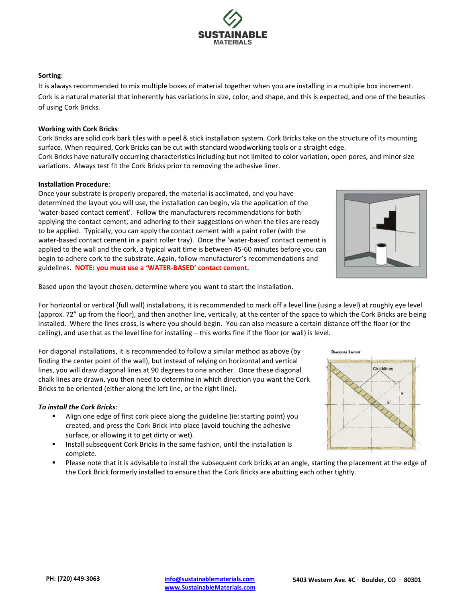# **Sorting**:

It is always recommended to mix multiple boxes of material together when you are installing in a multiple box increment. Cork is a natural material that inherently has variations in size, color, and shape, and this is expected, and one of the beauties of using Cork Bricks.

# **Working with Cork Bricks**:

Cork Bricks are solid cork bark tiles with a peel & stick installation system. Cork Bricks take on the structure of its mounting surface. When required, Cork Bricks can be cut with standard woodworking tools or a straight edge.

Cork Bricks have naturally occurring characteristics including but not limited to color variation, open pores, and minor size variations. Always test fit the Cork Bricks prior to removing the adhesive liner.

## **Installation Procedure**:

Once your substrate is properly prepared, the material is acclimated, and you have determined the layout you will use, the installation can begin, via the application of the 'water-based contact cement'. Follow the manufacturers recommendations for both applying the contact cement, and adhering to their suggestions on when the tiles are ready to be applied. Typically, you can apply the contact cement with a paint roller (with the water-based contact cement in a paint roller tray). Once the 'water-based' contact cement is applied to the wall and the cork, a typical wait time is between 45-60 minutes before you can begin to adhere cork to the substrate. Again, follow manufacturer's recommendations and guidelines. **NOTE: you must use a 'WATER-BASED' contact cement.**

Based upon the layout chosen, determine where you want to start the installation.

For horizontal or vertical (full wall) installations, it is recommended to mark off a level line (using a level) at roughly eye level (approx. 72" up from the floor), and then another line, vertically, at the center of the space to which the Cork Bricks are being installed. Where the lines cross, is where you should begin. You can also measure a certain distance off the floor (or the ceiling), and use that as the level line for installing – this works fine if the floor (or wall) is level.

For diagonal installations, it is recommended to follow a similar method as above (by finding the center point of the wall), but instead of relying on horizontal and vertical lines, you will draw diagonal lines at 90 degrees to one another. Once these diagonal chalk lines are drawn, you then need to determine in which direction you want the Cork Bricks to be oriented (either along the left line, or the right line).

## *To install the Cork Bricks*:

- Align one edge of first cork piece along the guideline (ie: starting point) you created, and press the Cork Brick into place (avoid touching the adhesive surface, or allowing it to get dirty or wet).
- Install subsequent Cork Bricks in the same fashion, until the installation is complete.
- Please note that it is advisable to install the subsequent cork bricks at an angle, starting the placement at the edge of the Cork Brick formerly installed to ensure that the Cork Bricks are abutting each other tightly.





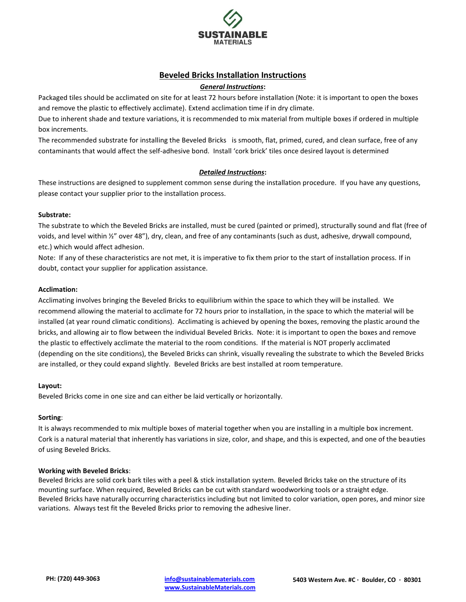

# **Beveled Bricks Installation Instructions**

### *General Instructions***:**

Packaged tiles should be acclimated on site for at least 72 hours before installation (Note: it is important to open the boxes and remove the plastic to effectively acclimate). Extend acclimation time if in dry climate.

Due to inherent shade and texture variations, it is recommended to mix material from multiple boxes if ordered in multiple box increments.

The recommended substrate for installing the Beveled Bricks is smooth, flat, primed, cured, and clean surface, free of any contaminants that would affect the self-adhesive bond. Install 'cork brick' tiles once desired layout is determined

## *Detailed Instructions***:**

These instructions are designed to supplement common sense during the installation procedure. If you have any questions, please contact your supplier prior to the installation process.

#### **Substrate:**

The substrate to which the Beveled Bricks are installed, must be cured (painted or primed), structurally sound and flat (free of voids, and level within ½" over 48"), dry, clean, and free of any contaminants (such as dust, adhesive, drywall compound, etc.) which would affect adhesion.

Note: If any of these characteristics are not met, it is imperative to fix them prior to the start of installation process. If in doubt, contact your supplier for application assistance.

### **Acclimation:**

Acclimating involves bringing the Beveled Bricks to equilibrium within the space to which they will be installed. We recommend allowing the material to acclimate for 72 hours prior to installation, in the space to which the material will be installed (at year round climatic conditions). Acclimating is achieved by opening the boxes, removing the plastic around the bricks, and allowing air to flow between the individual Beveled Bricks. Note: it is important to open the boxes and remove the plastic to effectively acclimate the material to the room conditions. If the material is NOT properly acclimated (depending on the site conditions), the Beveled Bricks can shrink, visually revealing the substrate to which the Beveled Bricks are installed, or they could expand slightly. Beveled Bricks are best installed at room temperature.

#### **Layout:**

Beveled Bricks come in one size and can either be laid vertically or horizontally.

## **Sorting**:

It is always recommended to mix multiple boxes of material together when you are installing in a multiple box increment. Cork is a natural material that inherently has variations in size, color, and shape, and this is expected, and one of the beauties of using Beveled Bricks.

#### **Working with Beveled Bricks**:

Beveled Bricks are solid cork bark tiles with a peel & stick installation system. Beveled Bricks take on the structure of its mounting surface. When required, Beveled Bricks can be cut with standard woodworking tools or a straight edge. Beveled Bricks have naturally occurring characteristics including but not limited to color variation, open pores, and minor size variations. Always test fit the Beveled Bricks prior to removing the adhesive liner.